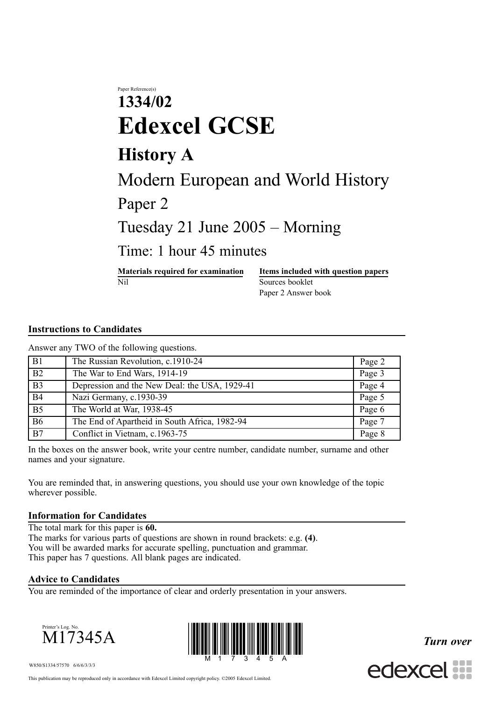# Paper Reference(s) **1334/02 Edexcel GCSE History A** Modern European and World History Paper 2 Tuesday 21 June 2005 – Morning Time: 1 hour 45 minutes **Materials required for examination Items included with question papers**

Nil Sources booklet Paper 2 Answer book

## **Instructions to Candidates**

Answer any TWO of the following questions.

| B1              | The Russian Revolution, c.1910-24             | Page 2 |
|-----------------|-----------------------------------------------|--------|
| $\overline{B2}$ | The War to End Wars, 1914-19                  | Page 3 |
| $\overline{B3}$ | Depression and the New Deal: the USA, 1929-41 | Page 4 |
| <b>B4</b>       | Nazi Germany, c.1930-39                       | Page 5 |
| $\overline{B5}$ | The World at War, 1938-45                     | Page 6 |
| <b>B6</b>       | The End of Apartheid in South Africa, 1982-94 | Page 7 |
| $\overline{B7}$ | Conflict in Vietnam, c.1963-75                | Page 8 |

In the boxes on the answer book, write your centre number, candidate number, surname and other names and your signature.

You are reminded that, in answering questions, you should use your own knowledge of the topic wherever possible.

#### **Information for Candidates**

The total mark for this paper is **60.** The marks for various parts of questions are shown in round brackets: e.g. **(4)**. You will be awarded marks for accurate spelling, punctuation and grammar. This paper has 7 questions. All blank pages are indicated.

### **Advice to Candidates**

You are reminded of the importance of clear and orderly presentation in your answers.





*Turn over*



W850/S1334/57570 6/6/6/3/3/3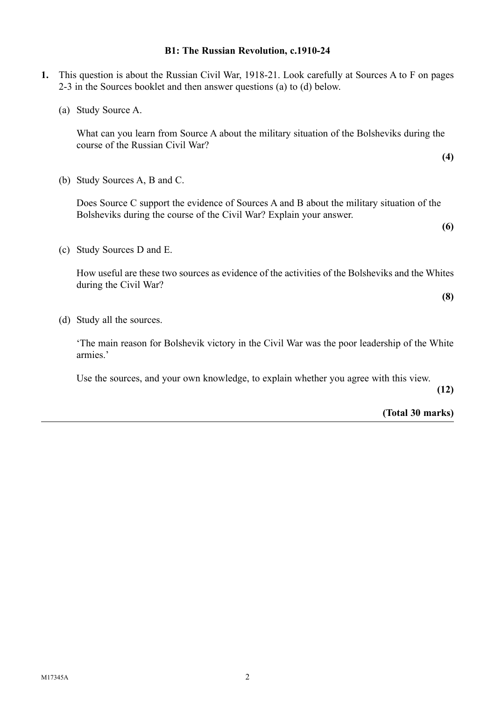#### **B1: The Russian Revolution, c.1910-24**

- **1.** This question is about the Russian Civil War, 1918-21. Look carefully at Sources A to F on pages 2-3 in the Sources booklet and then answer questions (a) to (d) below.
	- (a) Study Source A.

What can you learn from Source A about the military situation of the Bolsheviks during the course of the Russian Civil War?

(b) Study Sources A, B and C.

Does Source C support the evidence of Sources A and B about the military situation of the Bolsheviks during the course of the Civil War? Explain your answer.

**(6)**

**(4)**

(c) Study Sources D and E.

How useful are these two sources as evidence of the activities of the Bolsheviks and the Whites during the Civil War?

**(8)**

(d) Study all the sources.

'The main reason for Bolshevik victory in the Civil War was the poor leadership of the White armies.'

Use the sources, and your own knowledge, to explain whether you agree with this view.

**(12)**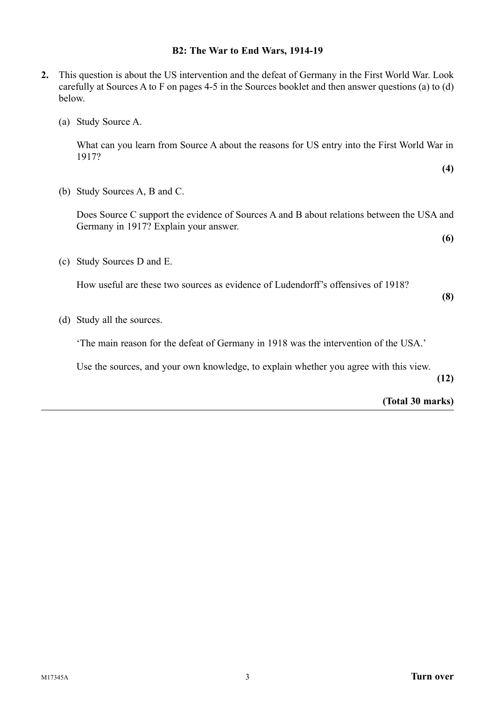### **B2: The War to End Wars, 1914-19**

- **2.** This question is about the US intervention and the defeat of Germany in the First World War. Look carefully at Sources A to F on pages 4-5 in the Sources booklet and then answer questions (a) to (d) below.
	- (a) Study Source A.

What can you learn from Source A about the reasons for US entry into the First World War in 1917?

**(4)**

(b) Study Sources A, B and C.

Does Source C support the evidence of Sources A and B about relations between the USA and Germany in 1917? Explain your answer.

**(6)**

(c) Study Sources D and E.

How useful are these two sources as evidence of Ludendorff's offensives of 1918?

**(8)**

(d) Study all the sources.

'The main reason for the defeat of Germany in 1918 was the intervention of the USA.'

Use the sources, and your own knowledge, to explain whether you agree with this view.

**(12)**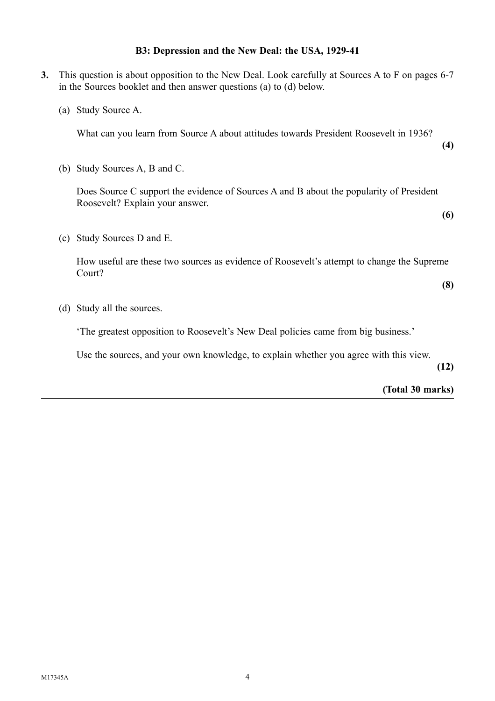### **B3: Depression and the New Deal: the USA, 1929-41**

**3.** This question is about opposition to the New Deal. Look carefully at Sources A to F on pages 6-7 in the Sources booklet and then answer questions (a) to (d) below. (a) Study Source A. What can you learn from Source A about attitudes towards President Roosevelt in 1936? **(4)** (b) Study Sources A, B and C. Does Source C support the evidence of Sources A and B about the popularity of President Roosevelt? Explain your answer. **(6)** (c) Study Sources D and E. How useful are these two sources as evidence of Roosevelt's attempt to change the Supreme Court? **(8)** (d) Study all the sources. 'The greatest opposition to Roosevelt's New Deal policies came from big business.'

**(12)**

**(Total 30 marks)**

Use the sources, and your own knowledge, to explain whether you agree with this view.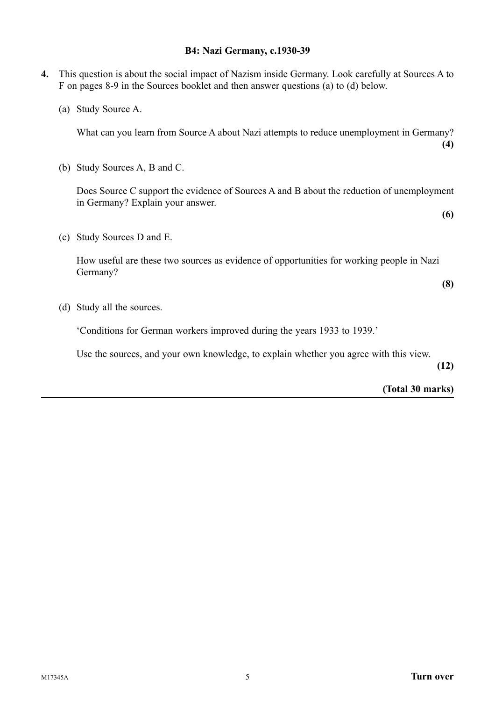### **B4: Nazi Germany, c.1930-39**

- **4.** This question is about the social impact of Nazism inside Germany. Look carefully at Sources A to F on pages 8-9 in the Sources booklet and then answer questions (a) to (d) below.
	- (a) Study Source A.

What can you learn from Source A about Nazi attempts to reduce unemployment in Germany? **(4)**

(b) Study Sources A, B and C.

Does Source C support the evidence of Sources A and B about the reduction of unemployment in Germany? Explain your answer.

(c) Study Sources D and E.

How useful are these two sources as evidence of opportunities for working people in Nazi Germany?

**(8)**

**(6)**

(d) Study all the sources.

'Conditions for German workers improved during the years 1933 to 1939.'

Use the sources, and your own knowledge, to explain whether you agree with this view.

**(12)**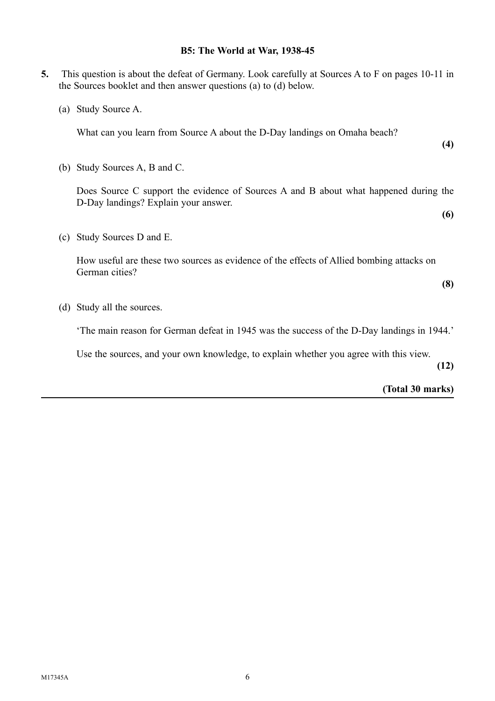# **B5: The World at War, 1938-45**

**5.** This question is about the defeat of Germany. Look carefully at Sources A to F on pages 10-11 in

the Sources booklet and then answer questions (a) to (d) below.

| Study Source A.<br>(a)                                                                                                       |      |
|------------------------------------------------------------------------------------------------------------------------------|------|
| What can you learn from Source A about the D-Day landings on Omaha beach?                                                    | (4)  |
| (b) Study Sources A, B and C.                                                                                                |      |
| Does Source C support the evidence of Sources A and B about what happened during the<br>D-Day landings? Explain your answer. |      |
|                                                                                                                              | (6)  |
| Study Sources D and E.<br>(c)                                                                                                |      |
| How useful are these two sources as evidence of the effects of Allied bombing attacks on<br>German cities?                   |      |
|                                                                                                                              | (8)  |
| Study all the sources.<br>(d)                                                                                                |      |
| The main reason for German defeat in 1945 was the success of the D-Day landings in 1944.                                     |      |
| Use the sources, and your own knowledge, to explain whether you agree with this view.                                        | (12) |
| (Total 30 marks)                                                                                                             |      |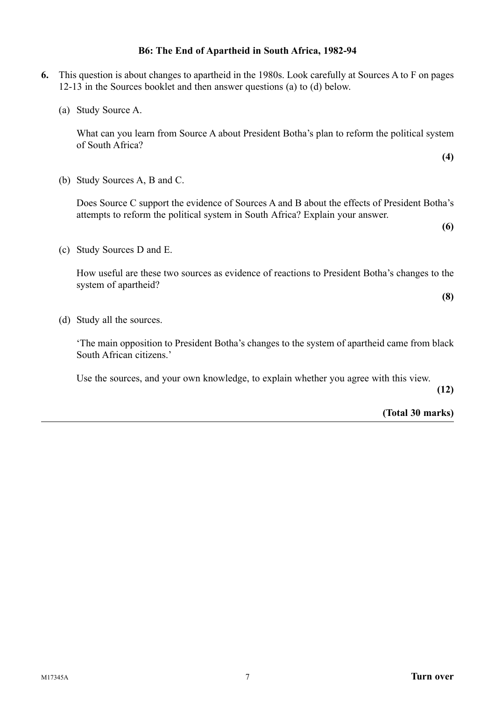## **B6: The End of Apartheid in South Africa, 1982-94**

- **6.** This question is about changes to apartheid in the 1980s. Look carefully at Sources A to F on pages 12-13 in the Sources booklet and then answer questions (a) to (d) below.
	- (a) Study Source A.

What can you learn from Source A about President Botha's plan to reform the political system of South Africa?

(b) Study Sources A, B and C.

Does Source C support the evidence of Sources A and B about the effects of President Botha's attempts to reform the political system in South Africa? Explain your answer.

**(6)**

**(4)**

(c) Study Sources D and E.

How useful are these two sources as evidence of reactions to President Botha's changes to the system of apartheid?

**(8)**

(d) Study all the sources.

'The main opposition to President Botha's changes to the system of apartheid came from black South African citizens.'

Use the sources, and your own knowledge, to explain whether you agree with this view.

**(12)**